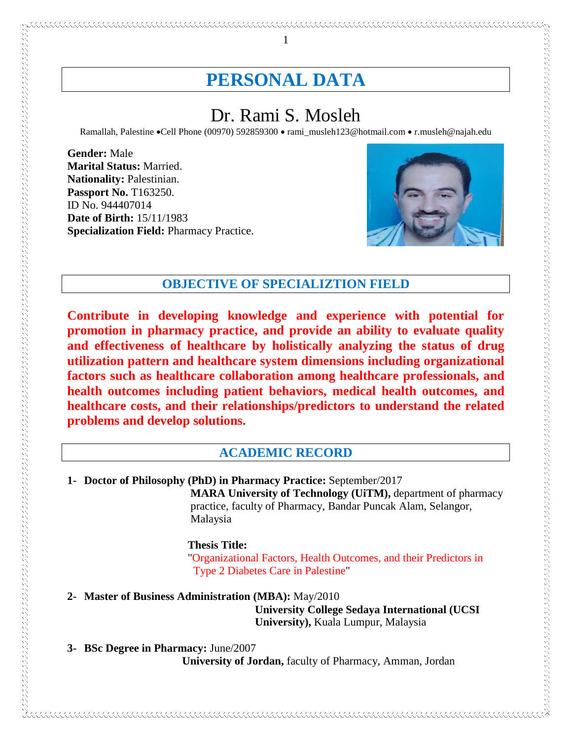# **PERSONAL DATA**

1

# Dr. Rami S. Mosleh

Ramallah, Palestine •Cell Phone (00970) 592859300 • rami\_musleh123@hotmail.com • r.musleh@najah.edu

**Gender:** Male **Marital Status:** Married. **Nationality:** Palestinian. **Passport No.** T163250. ID No. 944407014 **Date of Birth:** 15/11/1983 **Specialization Field:** Pharmacy Practice.

アルバイン きょうしょう きょうこう きょうこう アイディング こうしょう アイディング きょうしょう きょうかん きょうしょう きょうこう きょうこう きょうしょう しょうしょう しょうしょう しょうしょう しょうしょう しょうしょう しょうしょう しょうしょう しょうしょう しょうしょう しょうしょう しょうしょう しょうしょう しょうしょう しょうしょう しょうしょう



## **OBJECTIVE OF SPECIALIZTION FIELD**

**Contribute in developing knowledge and experience with potential for promotion in pharmacy practice, and provide an ability to evaluate quality and effectiveness of healthcare by holistically analyzing the status of drug utilization pattern and healthcare system dimensions including organizational factors such as healthcare collaboration among healthcare professionals, and health outcomes including patient behaviors, medical health outcomes, and healthcare costs, and their relationships/predictors to understand the related problems and develop solutions.**

## **ACADEMIC RECORD**

**1- Doctor of Philosophy (PhD) in Pharmacy Practice:** September/2017

 **MARA University of Technology (UiTM),** department of pharmacy practice, faculty of Pharmacy, Bandar Puncak Alam, Selangor, Malaysia

#### **Thesis Title:**

"Organizational Factors, Health Outcomes, and their Predictors in Type 2 Diabetes Care in Palestine"

**2- Master of Business Administration (MBA):** May/2010

 **University College Sedaya International (UCSI University),** Kuala Lumpur, Malaysia

**3- BSc Degree in Pharmacy:** June/2007  **University of Jordan,** faculty of Pharmacy, Amman, Jordan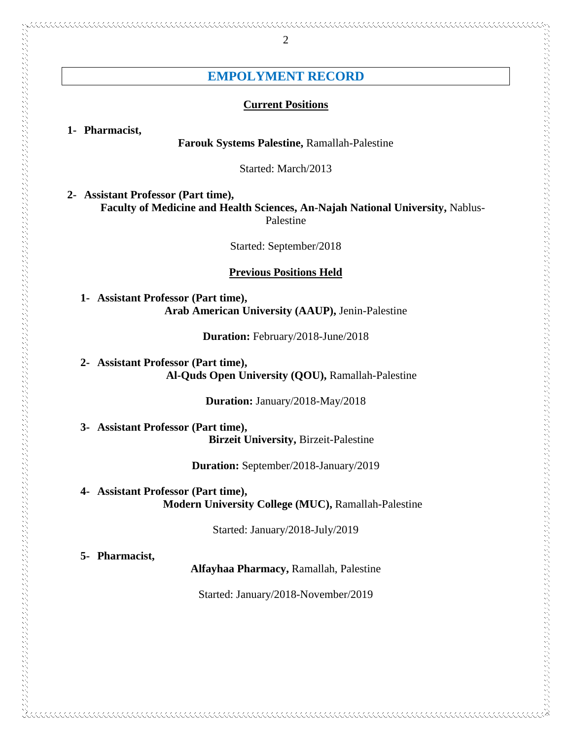# **EMPOLYMENT RECORD**

#### **Current Positions**

**1- Pharmacist,**

#### **Farouk Systems Palestine,** Ramallah-Palestine

Started: March/2013

**2- Assistant Professor (Part time), Faculty of Medicine and Health Sciences, An-Najah National University,** Nablus-Palestine

Started: September/2018

### **Previous Positions Held**

**1- Assistant Professor (Part time), Arab American University (AAUP),** Jenin-Palestine

**Duration:** February/2018-June/2018

**2- Assistant Professor (Part time), Al-Quds Open University (QOU),** Ramallah-Palestine

**Duration:** January/2018-May/2018

**3- Assistant Professor (Part time), Birzeit University,** Birzeit-Palestine

**Duration:** September/2018-January/2019

**4- Assistant Professor (Part time), Modern University College (MUC),** Ramallah-Palestine

Started: January/2018-July/2019

**5- Pharmacist,**

**Alfayhaa Pharmacy,** Ramallah, Palestine

Started: January/2018-November/2019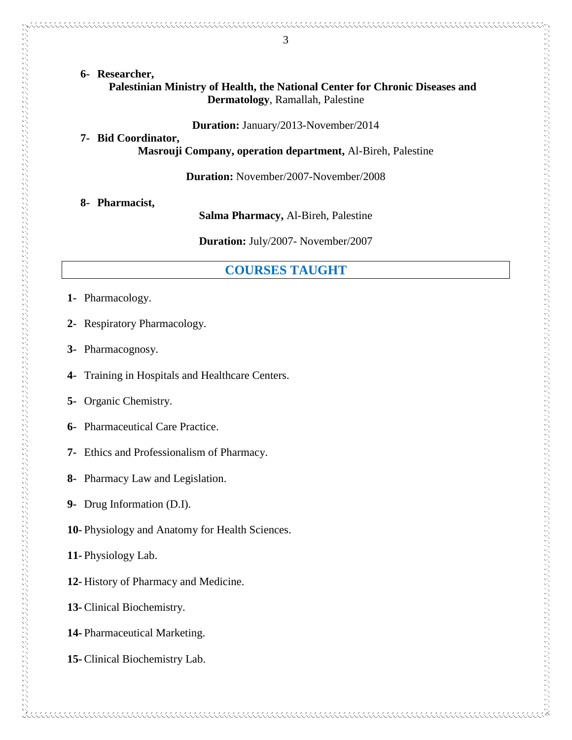**6- Researcher, Palestinian Ministry of Health, the National Center for Chronic Diseases and Dermatology**, Ramallah, Palestine

**Duration:** January/2013-November/2014

**7- Bid Coordinator, Masrouji Company, operation department,** Al-Bireh, Palestine

**Duration:** November/2007-November/2008

**8- Pharmacist,**

**Salma Pharmacy,** Al-Bireh, Palestine

**Duration:** July/2007- November/2007

## **COURSES TAUGHT**

- **1-** Pharmacology.
- **2-** Respiratory Pharmacology.
- **3-** Pharmacognosy.

- **4-** Training in Hospitals and Healthcare Centers.
- **5-** Organic Chemistry.
- **6-** Pharmaceutical Care Practice.
- **7-** Ethics and Professionalism of Pharmacy.
- **8-** Pharmacy Law and Legislation.
- **9-** Drug Information (D.I).
- **10-** Physiology and Anatomy for Health Sciences.
- **11-** Physiology Lab.
- **12-** History of Pharmacy and Medicine.
- **13-** Clinical Biochemistry.
- **14-** Pharmaceutical Marketing.
- **15-** Clinical Biochemistry Lab.

3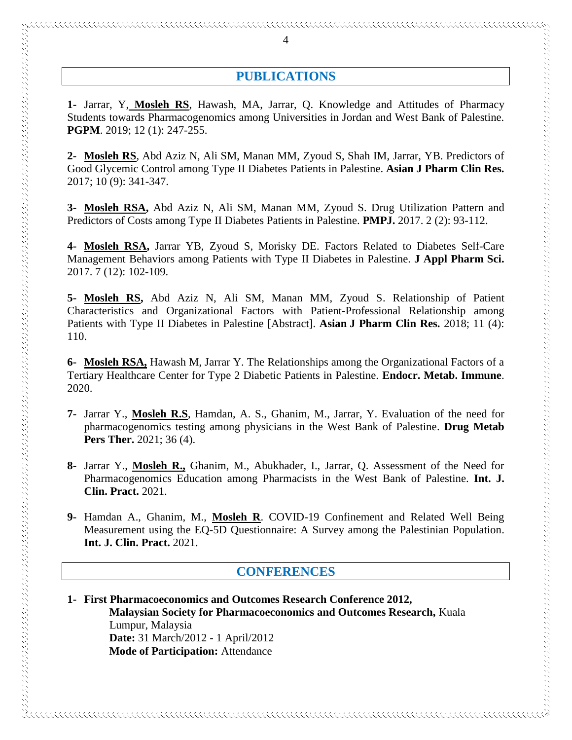# **PUBLICATIONS**

**1-** Jarrar, Y, **Mosleh RS**, Hawash, MA, Jarrar, Q. Knowledge and Attitudes of Pharmacy Students towards Pharmacogenomics among Universities in Jordan and West Bank of Palestine. **PGPM**. 2019; 12 (1): 247-255.

**2- Mosleh RS**, Abd Aziz N, Ali SM, Manan MM, Zyoud S, Shah IM, Jarrar, YB. Predictors of Good Glycemic Control among Type II Diabetes Patients in Palestine. **Asian J Pharm Clin Res.** 2017; 10 (9): 341-347.

**3- Mosleh RSA,** Abd Aziz N, Ali SM, Manan MM, Zyoud S. Drug Utilization Pattern and Predictors of Costs among Type II Diabetes Patients in Palestine. **PMPJ.** 2017. 2 (2): 93-112.

**4- Mosleh RSA,** Jarrar YB, Zyoud S, Morisky DE. Factors Related to Diabetes Self-Care Management Behaviors among Patients with Type II Diabetes in Palestine. **J Appl Pharm Sci.** 2017. 7 (12): 102-109.

**5- Mosleh RS,** Abd Aziz N, Ali SM, Manan MM, Zyoud S. Relationship of Patient Characteristics and Organizational Factors with Patient-Professional Relationship among Patients with Type II Diabetes in Palestine [Abstract]. **Asian J Pharm Clin Res.** 2018; 11 (4): 110.

**6- Mosleh RSA,** Hawash M, Jarrar Y. The Relationships among the Organizational Factors of a Tertiary Healthcare Center for Type 2 Diabetic Patients in Palestine. **Endocr. Metab. Immune**. 2020.

 $\sim$  . The composition of the construction of the composition of the composition of the composition of the composition of the composition of the composition of the composition of the composition of the composition of the

- **7-** Jarrar Y., **Mosleh R.S**, Hamdan, A. S., Ghanim, M., Jarrar, Y. Evaluation of the need for pharmacogenomics testing among physicians in the West Bank of Palestine. **Drug Metab Pers Ther.** 2021; 36 (4).
- **8-** Jarrar Y., **Mosleh R.,** Ghanim, M., Abukhader, I., Jarrar, Q. Assessment of the Need for Pharmacogenomics Education among Pharmacists in the West Bank of Palestine. **Int. J. Clin. Pract.** 2021.
- **9-** Hamdan A., Ghanim, M., **Mosleh R**. COVID-19 Confinement and Related Well Being Measurement using the EQ-5D Questionnaire: A Survey among the Palestinian Population. **Int. J. Clin. Pract.** 2021.

## **CONFERENCES**

**1- First Pharmacoeconomics and Outcomes Research Conference 2012, Malaysian Society for Pharmacoeconomics and Outcomes Research,** Kuala Lumpur, Malaysia  **Date:** 31 March/2012 - 1 April/2012  **Mode of Participation:** Attendance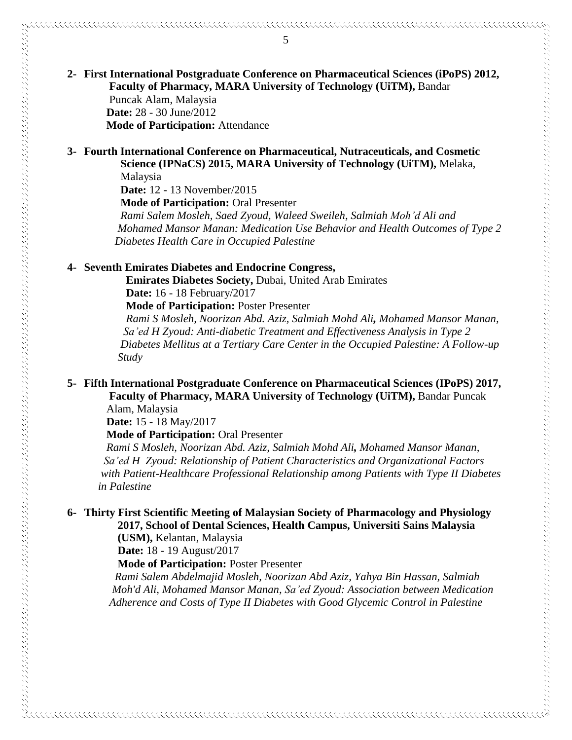## **2- First International Postgraduate Conference on Pharmaceutical Sciences (iPoPS) 2012, Faculty of Pharmacy, MARA University of Technology (UiTM),** Bandar Puncak Alam, Malaysia  **Date:** 28 - 30 June/2012  **Mode of Participation:** Attendance

## **3- Fourth International Conference on Pharmaceutical, Nutraceuticals, and Cosmetic Science (IPNaCS) 2015, MARA University of Technology (UiTM),** Melaka,

Malaysia

 **Date:** 12 - 13 November/2015

 **Mode of Participation:** Oral Presenter

 *Rami Salem Mosleh, Saed Zyoud, Waleed Sweileh, Salmiah Moh'd Ali and Mohamed Mansor Manan: Medication Use Behavior and Health Outcomes of Type 2 Diabetes Health Care in Occupied Palestine*

## **4- Seventh Emirates Diabetes and Endocrine Congress,**

 **Emirates Diabetes Society,** Dubai, United Arab Emirates  **Date:** 16 - 18 February/2017

 **Mode of Participation:** Poster Presenter

 *Rami S Mosleh, Noorizan Abd. Aziz, Salmiah Mohd Ali, Mohamed Mansor Manan, Sa'ed H Zyoud: Anti-diabetic Treatment and Effectiveness Analysis in Type 2 Diabetes Mellitus at a Tertiary Care Center in the Occupied Palestine: A Follow-up Study*

## **5- Fifth International Postgraduate Conference on Pharmaceutical Sciences (IPoPS) 2017, Faculty of Pharmacy, MARA University of Technology (UiTM),** Bandar Puncak

Alam, Malaysia

しょうしょう きょうこう きょうこう こうしょう こうしょう こうしょう アイディング こうしょう こうしょう こうしょう きょうこう こうしょう こうしょう こうしょう こうしょう こうしょう しょうこう こうしょう こうしょう こうしょう こうしょう こうしょう こうしょう こうしょう こうしょう こうしょう こうしょう こうしょう こうしょう こうしょうしょう

 **Date:** 15 - 18 May/2017

 **Mode of Participation:** Oral Presenter

 *Rami S Mosleh, Noorizan Abd. Aziz, Salmiah Mohd Ali, Mohamed Mansor Manan, Sa'ed H Zyoud: Relationship of Patient Characteristics and Organizational Factors with Patient-Healthcare Professional Relationship among Patients with Type II Diabetes in Palestine*

## **6- Thirty First Scientific Meeting of Malaysian Society of Pharmacology and Physiology 2017, School of Dental Sciences, Health Campus, Universiti Sains Malaysia**

 **(USM),** Kelantan, Malaysia

 **Date:** 18 - 19 August/2017

 **Mode of Participation:** Poster Presenter

 *Rami Salem Abdelmajid Mosleh, Noorizan Abd Aziz, Yahya Bin Hassan, Salmiah Moh'd Ali, Mohamed Mansor Manan, Sa'ed Zyoud: Association between Medication Adherence and Costs of Type II Diabetes with Good Glycemic Control in Palestine*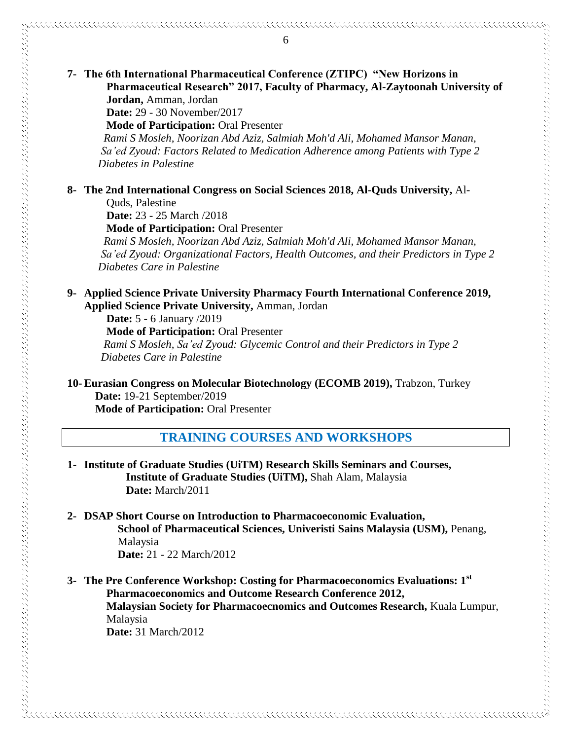## **7- The 6th International Pharmaceutical Conference (ZTIPC) "New Horizons in Pharmaceutical Research" 2017, Faculty of Pharmacy, Al-Zaytoonah University of Jordan,** Amman, Jordan

 **Date:** 29 - 30 November/2017

 **Mode of Participation:** Oral Presenter

*Rami S Mosleh, Noorizan Abd Aziz, Salmiah Moh'd Ali, Mohamed Mansor Manan, Sa'ed Zyoud: Factors Related to Medication Adherence among Patients with Type 2 Diabetes in Palestine* 

## **8- The 2nd International Congress on Social Sciences 2018, Al-Quds University,** Al-

**Ouds**, Palestine

 **Date:** 23 - 25 March /2018

 **Mode of Participation:** Oral Presenter

*Rami S Mosleh, Noorizan Abd Aziz, Salmiah Moh'd Ali, Mohamed Mansor Manan, Sa'ed Zyoud: Organizational Factors, Health Outcomes, and their Predictors in Type 2 Diabetes Care in Palestine*

**9- Applied Science Private University Pharmacy Fourth International Conference 2019, Applied Science Private University,** Amman, Jordan

 **Date:** 5 - 6 January /2019  **Mode of Participation:** Oral Presenter *Rami S Mosleh, Sa'ed Zyoud: Glycemic Control and their Predictors in Type 2 Diabetes Care in Palestine*

**10- Eurasian Congress on Molecular Biotechnology (ECOMB 2019),** Trabzon, Turkey **Date:** 19-21 September/2019

 **Mode of Participation:** Oral Presenter

# **TRAINING COURSES AND WORKSHOPS**

- **1- Institute of Graduate Studies (UiTM) Research Skills Seminars and Courses, Institute of Graduate Studies (UiTM),** Shah Alam, Malaysia  **Date:** March/2011
- **2- DSAP Short Course on Introduction to Pharmacoeconomic Evaluation, School of Pharmaceutical Sciences, Univeristi Sains Malaysia (USM),** Penang, Malaysia  **Date:** 21 - 22 March/2012
- **3- The Pre Conference Workshop: Costing for Pharmacoeconomics Evaluations: 1st Pharmacoeconomics and Outcome Research Conference 2012, Malaysian Society for Pharmacoecnomics and Outcomes Research,** Kuala Lumpur, Malaysia  **Date:** 31 March/2012